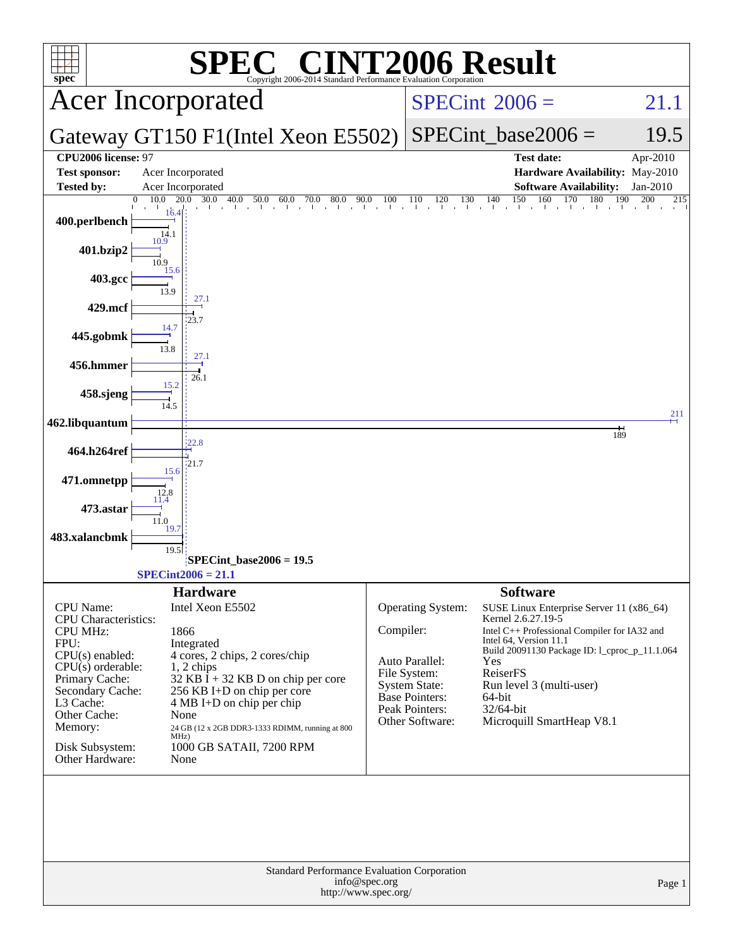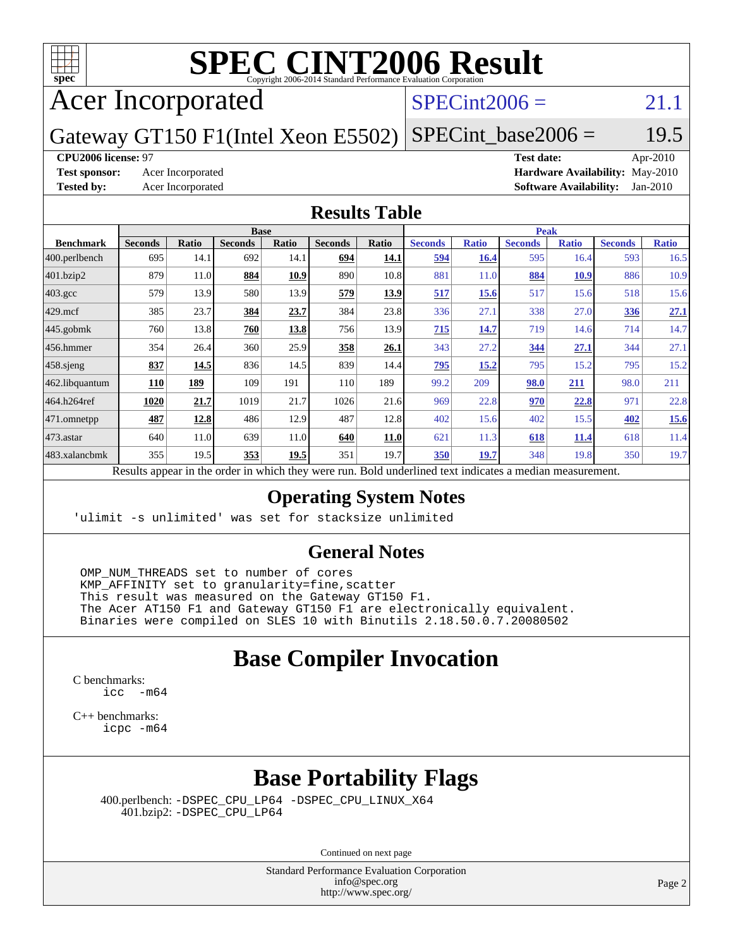

# **[SPEC CINT2006 Result](http://www.spec.org/auto/cpu2006/Docs/result-fields.html#SPECCINT2006Result)**

# Acer Incorporated

## $SPECint2006 = 21.1$  $SPECint2006 = 21.1$

Gateway GT150 F1(Intel Xeon E5502)  $SPECTnt\_base2006 = 19.5$ 

**[CPU2006 license:](http://www.spec.org/auto/cpu2006/Docs/result-fields.html#CPU2006license)** 97 **[Test date:](http://www.spec.org/auto/cpu2006/Docs/result-fields.html#Testdate)** Apr-2010 **[Test sponsor:](http://www.spec.org/auto/cpu2006/Docs/result-fields.html#Testsponsor)** Acer Incorporated **[Hardware Availability:](http://www.spec.org/auto/cpu2006/Docs/result-fields.html#HardwareAvailability)** May-2010 **[Tested by:](http://www.spec.org/auto/cpu2006/Docs/result-fields.html#Testedby)** Acer Incorporated **[Software Availability:](http://www.spec.org/auto/cpu2006/Docs/result-fields.html#SoftwareAvailability)** Jan-2010

#### **[Results Table](http://www.spec.org/auto/cpu2006/Docs/result-fields.html#ResultsTable)**

|                    |                | <b>Peak</b> |                                                                                                          |       |                |             |                |              |                |              |                |              |
|--------------------|----------------|-------------|----------------------------------------------------------------------------------------------------------|-------|----------------|-------------|----------------|--------------|----------------|--------------|----------------|--------------|
| <b>Benchmark</b>   | <b>Seconds</b> | Ratio       | <b>Seconds</b>                                                                                           | Ratio | <b>Seconds</b> | Ratio       | <b>Seconds</b> | <b>Ratio</b> | <b>Seconds</b> | <b>Ratio</b> | <b>Seconds</b> | <b>Ratio</b> |
| 400.perlbench      | 695            | 14.1        | 692                                                                                                      | 14.1  | 694            | 14.1        | 594            | 16.4         | 595            | 16.4         | 593            | 16.5         |
| 401.bzip2          | 879            | 11.0        | 884                                                                                                      | 10.9  | 890            | 10.8        | 881            | 11.0         | 884            | <u>10.9</u>  | 886            | 10.9         |
| $403.\mathrm{gcc}$ | 579            | 13.9        | 580                                                                                                      | 13.9  | 579            | 13.9        | 517            | 15.6         | 517            | 15.6         | 518            | 15.6         |
| $429$ mcf          | 385            | 23.7        | 384                                                                                                      | 23.7  | 384            | 23.8        | 336            | 27.1         | 338            | 27.0         | 336            | 27.1         |
| $445$ .gobmk       | 760            | 13.8        | 760                                                                                                      | 13.8  | 756            | 13.9        | 715            | 14.7         | 719            | 14.6         | 714            | 14.7         |
| 456.hmmer          | 354            | 26.4        | 360                                                                                                      | 25.9  | 358            | 26.1        | 343            | 27.2         | 344            | 27.1         | 344            | 27.1         |
| $458$ .sjeng       | 837            | 14.5        | 836                                                                                                      | 14.5  | 839            | 14.4        | 795            | 15.2         | 795            | 15.2         | 795            | 15.2         |
| 462.libquantum     | 110            | 189         | 109                                                                                                      | 191   | 110            | 189         | 99.2           | 209          | 98.0           | 211          | 98.0           | 211          |
| 464.h264ref        | 1020           | 21.7        | 1019                                                                                                     | 21.7  | 1026           | 21.6        | 969            | 22.8         | 970            | 22.8         | 971            | 22.8         |
| $ 471$ .omnetpp    | 487            | 12.8        | 486                                                                                                      | 12.9  | 487            | 12.8        | 402            | 15.6         | 402            | 15.5         | 402            | 15.6         |
| $473$ . astar      | 640            | 11.0        | 639                                                                                                      | 11.0  | 640            | <b>11.0</b> | 621            | 11.3         | 618            | <u>11.4</u>  | 618            | 11.4         |
| 483.xalancbmk      | 355            | 19.5        | 353                                                                                                      | 19.5  | 351            | 19.7        | 350            | 19.7         | 348            | 19.8         | 350            | 19.7         |
|                    |                |             | Results appear in the order in which they were run. Bold underlined text indicates a median measurement. |       |                |             |                |              |                |              |                |              |

### **[Operating System Notes](http://www.spec.org/auto/cpu2006/Docs/result-fields.html#OperatingSystemNotes)**

'ulimit -s unlimited' was set for stacksize unlimited

### **[General Notes](http://www.spec.org/auto/cpu2006/Docs/result-fields.html#GeneralNotes)**

 OMP\_NUM\_THREADS set to number of cores KMP\_AFFINITY set to granularity=fine,scatter This result was measured on the Gateway GT150 F1. The Acer AT150 F1 and Gateway GT150 F1 are electronically equivalent. Binaries were compiled on SLES 10 with Binutils 2.18.50.0.7.20080502

# **[Base Compiler Invocation](http://www.spec.org/auto/cpu2006/Docs/result-fields.html#BaseCompilerInvocation)**

[C benchmarks](http://www.spec.org/auto/cpu2006/Docs/result-fields.html#Cbenchmarks): [icc -m64](http://www.spec.org/cpu2006/results/res2010q3/cpu2006-20100608-11688.flags.html#user_CCbase_intel_icc_64bit_f346026e86af2a669e726fe758c88044)

[C++ benchmarks:](http://www.spec.org/auto/cpu2006/Docs/result-fields.html#CXXbenchmarks) [icpc -m64](http://www.spec.org/cpu2006/results/res2010q3/cpu2006-20100608-11688.flags.html#user_CXXbase_intel_icpc_64bit_fc66a5337ce925472a5c54ad6a0de310)

# **[Base Portability Flags](http://www.spec.org/auto/cpu2006/Docs/result-fields.html#BasePortabilityFlags)**

 400.perlbench: [-DSPEC\\_CPU\\_LP64](http://www.spec.org/cpu2006/results/res2010q3/cpu2006-20100608-11688.flags.html#b400.perlbench_basePORTABILITY_DSPEC_CPU_LP64) [-DSPEC\\_CPU\\_LINUX\\_X64](http://www.spec.org/cpu2006/results/res2010q3/cpu2006-20100608-11688.flags.html#b400.perlbench_baseCPORTABILITY_DSPEC_CPU_LINUX_X64) 401.bzip2: [-DSPEC\\_CPU\\_LP64](http://www.spec.org/cpu2006/results/res2010q3/cpu2006-20100608-11688.flags.html#suite_basePORTABILITY401_bzip2_DSPEC_CPU_LP64)

Continued on next page

Standard Performance Evaluation Corporation [info@spec.org](mailto:info@spec.org) <http://www.spec.org/>

Page 2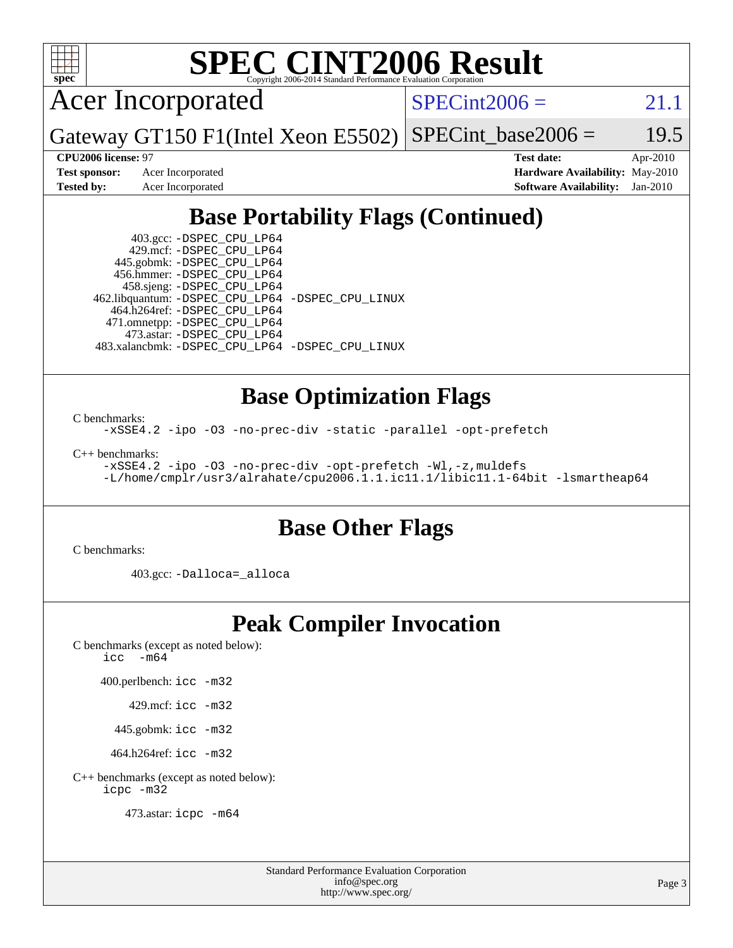

[C benchmarks](http://www.spec.org/auto/cpu2006/Docs/result-fields.html#Cbenchmarks):

403.gcc: [-Dalloca=\\_alloca](http://www.spec.org/cpu2006/results/res2010q3/cpu2006-20100608-11688.flags.html#b403.gcc_baseEXTRA_CFLAGS_Dalloca_be3056838c12de2578596ca5467af7f3)

# **[Peak Compiler Invocation](http://www.spec.org/auto/cpu2006/Docs/result-fields.html#PeakCompilerInvocation)**

[C benchmarks \(except as noted below\)](http://www.spec.org/auto/cpu2006/Docs/result-fields.html#Cbenchmarksexceptasnotedbelow): [icc -m64](http://www.spec.org/cpu2006/results/res2010q3/cpu2006-20100608-11688.flags.html#user_CCpeak_intel_icc_64bit_f346026e86af2a669e726fe758c88044)

400.perlbench: [icc -m32](http://www.spec.org/cpu2006/results/res2010q3/cpu2006-20100608-11688.flags.html#user_peakCCLD400_perlbench_intel_icc_32bit_a6a621f8d50482236b970c6ac5f55f93)

429.mcf: [icc -m32](http://www.spec.org/cpu2006/results/res2010q3/cpu2006-20100608-11688.flags.html#user_peakCCLD429_mcf_intel_icc_32bit_a6a621f8d50482236b970c6ac5f55f93)

445.gobmk: [icc -m32](http://www.spec.org/cpu2006/results/res2010q3/cpu2006-20100608-11688.flags.html#user_peakCCLD445_gobmk_intel_icc_32bit_a6a621f8d50482236b970c6ac5f55f93)

464.h264ref: [icc -m32](http://www.spec.org/cpu2006/results/res2010q3/cpu2006-20100608-11688.flags.html#user_peakCCLD464_h264ref_intel_icc_32bit_a6a621f8d50482236b970c6ac5f55f93)

[C++ benchmarks \(except as noted below\):](http://www.spec.org/auto/cpu2006/Docs/result-fields.html#CXXbenchmarksexceptasnotedbelow) [icpc -m32](http://www.spec.org/cpu2006/results/res2010q3/cpu2006-20100608-11688.flags.html#user_CXXpeak_intel_icpc_32bit_4e5a5ef1a53fd332b3c49e69c3330699)

473.astar: [icpc -m64](http://www.spec.org/cpu2006/results/res2010q3/cpu2006-20100608-11688.flags.html#user_peakCXXLD473_astar_intel_icpc_64bit_fc66a5337ce925472a5c54ad6a0de310)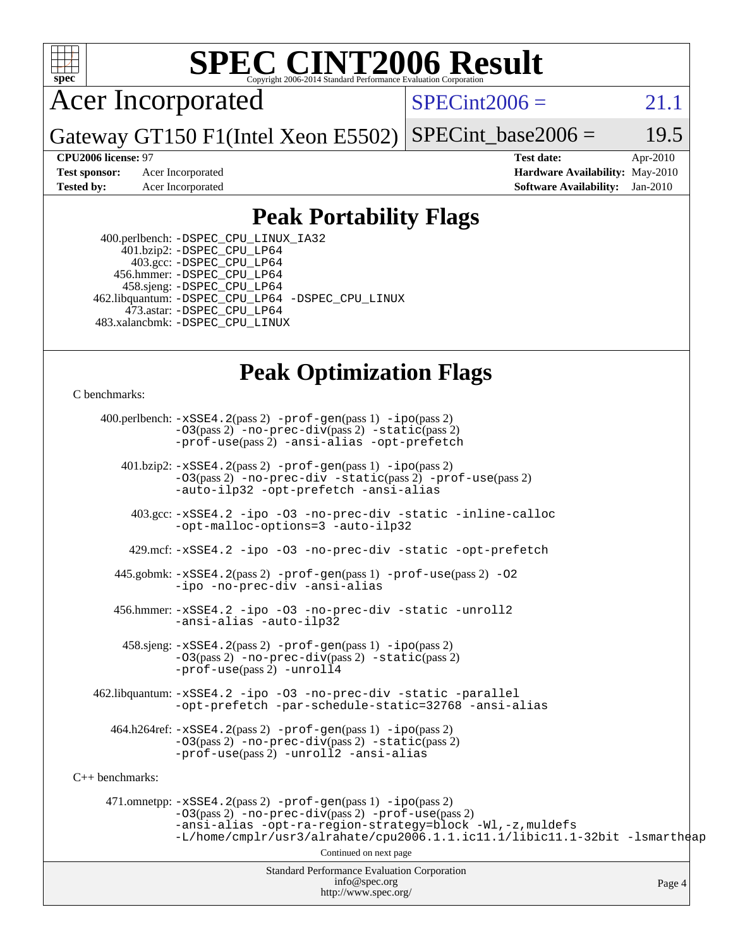

# **[SPEC CINT2006 Result](http://www.spec.org/auto/cpu2006/Docs/result-fields.html#SPECCINT2006Result)**

Acer Incorporated

 $SPECint2006 = 21.1$  $SPECint2006 = 21.1$ 

Gateway GT150 F1(Intel Xeon E5502) SPECint base2006 =  $19.5$ 

**[CPU2006 license:](http://www.spec.org/auto/cpu2006/Docs/result-fields.html#CPU2006license)** 97 **[Test date:](http://www.spec.org/auto/cpu2006/Docs/result-fields.html#Testdate)** Apr-2010 **[Test sponsor:](http://www.spec.org/auto/cpu2006/Docs/result-fields.html#Testsponsor)** Acer Incorporated **[Hardware Availability:](http://www.spec.org/auto/cpu2006/Docs/result-fields.html#HardwareAvailability)** May-2010 **[Tested by:](http://www.spec.org/auto/cpu2006/Docs/result-fields.html#Testedby)** Acer Incorporated **[Software Availability:](http://www.spec.org/auto/cpu2006/Docs/result-fields.html#SoftwareAvailability)** Jan-2010

# **[Peak Portability Flags](http://www.spec.org/auto/cpu2006/Docs/result-fields.html#PeakPortabilityFlags)**

 400.perlbench: [-DSPEC\\_CPU\\_LINUX\\_IA32](http://www.spec.org/cpu2006/results/res2010q3/cpu2006-20100608-11688.flags.html#b400.perlbench_peakCPORTABILITY_DSPEC_CPU_LINUX_IA32) 401.bzip2: [-DSPEC\\_CPU\\_LP64](http://www.spec.org/cpu2006/results/res2010q3/cpu2006-20100608-11688.flags.html#suite_peakPORTABILITY401_bzip2_DSPEC_CPU_LP64) 403.gcc: [-DSPEC\\_CPU\\_LP64](http://www.spec.org/cpu2006/results/res2010q3/cpu2006-20100608-11688.flags.html#suite_peakPORTABILITY403_gcc_DSPEC_CPU_LP64) 456.hmmer: [-DSPEC\\_CPU\\_LP64](http://www.spec.org/cpu2006/results/res2010q3/cpu2006-20100608-11688.flags.html#suite_peakPORTABILITY456_hmmer_DSPEC_CPU_LP64) 458.sjeng: [-DSPEC\\_CPU\\_LP64](http://www.spec.org/cpu2006/results/res2010q3/cpu2006-20100608-11688.flags.html#suite_peakPORTABILITY458_sjeng_DSPEC_CPU_LP64) 462.libquantum: [-DSPEC\\_CPU\\_LP64](http://www.spec.org/cpu2006/results/res2010q3/cpu2006-20100608-11688.flags.html#suite_peakPORTABILITY462_libquantum_DSPEC_CPU_LP64) [-DSPEC\\_CPU\\_LINUX](http://www.spec.org/cpu2006/results/res2010q3/cpu2006-20100608-11688.flags.html#b462.libquantum_peakCPORTABILITY_DSPEC_CPU_LINUX) 473.astar: [-DSPEC\\_CPU\\_LP64](http://www.spec.org/cpu2006/results/res2010q3/cpu2006-20100608-11688.flags.html#suite_peakPORTABILITY473_astar_DSPEC_CPU_LP64) 483.xalancbmk: [-DSPEC\\_CPU\\_LINUX](http://www.spec.org/cpu2006/results/res2010q3/cpu2006-20100608-11688.flags.html#b483.xalancbmk_peakCXXPORTABILITY_DSPEC_CPU_LINUX)

# **[Peak Optimization Flags](http://www.spec.org/auto/cpu2006/Docs/result-fields.html#PeakOptimizationFlags)**

[C benchmarks](http://www.spec.org/auto/cpu2006/Docs/result-fields.html#Cbenchmarks):

 400.perlbench: [-xSSE4.2](http://www.spec.org/cpu2006/results/res2010q3/cpu2006-20100608-11688.flags.html#user_peakPASS2_CFLAGSPASS2_LDCFLAGS400_perlbench_f-xSSE42_f91528193cf0b216347adb8b939d4107)(pass 2) [-prof-gen](http://www.spec.org/cpu2006/results/res2010q3/cpu2006-20100608-11688.flags.html#user_peakPASS1_CFLAGSPASS1_LDCFLAGS400_perlbench_prof_gen_e43856698f6ca7b7e442dfd80e94a8fc)(pass 1) [-ipo](http://www.spec.org/cpu2006/results/res2010q3/cpu2006-20100608-11688.flags.html#user_peakPASS2_CFLAGSPASS2_LDCFLAGS400_perlbench_f-ipo)(pass 2) [-O3](http://www.spec.org/cpu2006/results/res2010q3/cpu2006-20100608-11688.flags.html#user_peakPASS2_CFLAGSPASS2_LDCFLAGS400_perlbench_f-O3)(pass 2) [-no-prec-div](http://www.spec.org/cpu2006/results/res2010q3/cpu2006-20100608-11688.flags.html#user_peakPASS2_CFLAGSPASS2_LDCFLAGS400_perlbench_f-no-prec-div)(pass 2) [-static](http://www.spec.org/cpu2006/results/res2010q3/cpu2006-20100608-11688.flags.html#user_peakPASS2_CFLAGSPASS2_LDCFLAGS400_perlbench_f-static)(pass 2) [-prof-use](http://www.spec.org/cpu2006/results/res2010q3/cpu2006-20100608-11688.flags.html#user_peakPASS2_CFLAGSPASS2_LDCFLAGS400_perlbench_prof_use_bccf7792157ff70d64e32fe3e1250b55)(pass 2) [-ansi-alias](http://www.spec.org/cpu2006/results/res2010q3/cpu2006-20100608-11688.flags.html#user_peakCOPTIMIZE400_perlbench_f-ansi-alias) [-opt-prefetch](http://www.spec.org/cpu2006/results/res2010q3/cpu2006-20100608-11688.flags.html#user_peakCOPTIMIZE400_perlbench_f-opt-prefetch) 401.bzip2: [-xSSE4.2](http://www.spec.org/cpu2006/results/res2010q3/cpu2006-20100608-11688.flags.html#user_peakPASS2_CFLAGSPASS2_LDCFLAGS401_bzip2_f-xSSE42_f91528193cf0b216347adb8b939d4107)(pass 2) [-prof-gen](http://www.spec.org/cpu2006/results/res2010q3/cpu2006-20100608-11688.flags.html#user_peakPASS1_CFLAGSPASS1_LDCFLAGS401_bzip2_prof_gen_e43856698f6ca7b7e442dfd80e94a8fc)(pass 1) [-ipo](http://www.spec.org/cpu2006/results/res2010q3/cpu2006-20100608-11688.flags.html#user_peakPASS2_CFLAGSPASS2_LDCFLAGS401_bzip2_f-ipo)(pass 2)

[-O3](http://www.spec.org/cpu2006/results/res2010q3/cpu2006-20100608-11688.flags.html#user_peakPASS2_CFLAGSPASS2_LDCFLAGS401_bzip2_f-O3)(pass 2) [-no-prec-div](http://www.spec.org/cpu2006/results/res2010q3/cpu2006-20100608-11688.flags.html#user_peakCOPTIMIZEPASS2_CFLAGSPASS2_LDCFLAGS401_bzip2_f-no-prec-div) [-static](http://www.spec.org/cpu2006/results/res2010q3/cpu2006-20100608-11688.flags.html#user_peakPASS2_CFLAGSPASS2_LDCFLAGS401_bzip2_f-static)(pass 2) [-prof-use](http://www.spec.org/cpu2006/results/res2010q3/cpu2006-20100608-11688.flags.html#user_peakPASS2_CFLAGSPASS2_LDCFLAGS401_bzip2_prof_use_bccf7792157ff70d64e32fe3e1250b55)(pass 2) [-auto-ilp32](http://www.spec.org/cpu2006/results/res2010q3/cpu2006-20100608-11688.flags.html#user_peakCOPTIMIZE401_bzip2_f-auto-ilp32) [-opt-prefetch](http://www.spec.org/cpu2006/results/res2010q3/cpu2006-20100608-11688.flags.html#user_peakCOPTIMIZE401_bzip2_f-opt-prefetch) [-ansi-alias](http://www.spec.org/cpu2006/results/res2010q3/cpu2006-20100608-11688.flags.html#user_peakCOPTIMIZE401_bzip2_f-ansi-alias)

 403.gcc: [-xSSE4.2](http://www.spec.org/cpu2006/results/res2010q3/cpu2006-20100608-11688.flags.html#user_peakCOPTIMIZE403_gcc_f-xSSE42_f91528193cf0b216347adb8b939d4107) [-ipo](http://www.spec.org/cpu2006/results/res2010q3/cpu2006-20100608-11688.flags.html#user_peakCOPTIMIZE403_gcc_f-ipo) [-O3](http://www.spec.org/cpu2006/results/res2010q3/cpu2006-20100608-11688.flags.html#user_peakCOPTIMIZE403_gcc_f-O3) [-no-prec-div](http://www.spec.org/cpu2006/results/res2010q3/cpu2006-20100608-11688.flags.html#user_peakCOPTIMIZE403_gcc_f-no-prec-div) [-static](http://www.spec.org/cpu2006/results/res2010q3/cpu2006-20100608-11688.flags.html#user_peakCOPTIMIZE403_gcc_f-static) [-inline-calloc](http://www.spec.org/cpu2006/results/res2010q3/cpu2006-20100608-11688.flags.html#user_peakCOPTIMIZE403_gcc_f-inline-calloc) [-opt-malloc-options=3](http://www.spec.org/cpu2006/results/res2010q3/cpu2006-20100608-11688.flags.html#user_peakCOPTIMIZE403_gcc_f-opt-malloc-options_13ab9b803cf986b4ee62f0a5998c2238) [-auto-ilp32](http://www.spec.org/cpu2006/results/res2010q3/cpu2006-20100608-11688.flags.html#user_peakCOPTIMIZE403_gcc_f-auto-ilp32)

429.mcf: [-xSSE4.2](http://www.spec.org/cpu2006/results/res2010q3/cpu2006-20100608-11688.flags.html#user_peakCOPTIMIZE429_mcf_f-xSSE42_f91528193cf0b216347adb8b939d4107) [-ipo](http://www.spec.org/cpu2006/results/res2010q3/cpu2006-20100608-11688.flags.html#user_peakCOPTIMIZE429_mcf_f-ipo) [-O3](http://www.spec.org/cpu2006/results/res2010q3/cpu2006-20100608-11688.flags.html#user_peakCOPTIMIZE429_mcf_f-O3) [-no-prec-div](http://www.spec.org/cpu2006/results/res2010q3/cpu2006-20100608-11688.flags.html#user_peakCOPTIMIZE429_mcf_f-no-prec-div) [-static](http://www.spec.org/cpu2006/results/res2010q3/cpu2006-20100608-11688.flags.html#user_peakCOPTIMIZE429_mcf_f-static) [-opt-prefetch](http://www.spec.org/cpu2006/results/res2010q3/cpu2006-20100608-11688.flags.html#user_peakCOPTIMIZE429_mcf_f-opt-prefetch)

 445.gobmk: [-xSSE4.2](http://www.spec.org/cpu2006/results/res2010q3/cpu2006-20100608-11688.flags.html#user_peakPASS2_CFLAGSPASS2_LDCFLAGS445_gobmk_f-xSSE42_f91528193cf0b216347adb8b939d4107)(pass 2) [-prof-gen](http://www.spec.org/cpu2006/results/res2010q3/cpu2006-20100608-11688.flags.html#user_peakPASS1_CFLAGSPASS1_LDCFLAGS445_gobmk_prof_gen_e43856698f6ca7b7e442dfd80e94a8fc)(pass 1) [-prof-use](http://www.spec.org/cpu2006/results/res2010q3/cpu2006-20100608-11688.flags.html#user_peakPASS2_CFLAGSPASS2_LDCFLAGS445_gobmk_prof_use_bccf7792157ff70d64e32fe3e1250b55)(pass 2) [-O2](http://www.spec.org/cpu2006/results/res2010q3/cpu2006-20100608-11688.flags.html#user_peakCOPTIMIZE445_gobmk_f-O2) [-ipo](http://www.spec.org/cpu2006/results/res2010q3/cpu2006-20100608-11688.flags.html#user_peakCOPTIMIZE445_gobmk_f-ipo) [-no-prec-div](http://www.spec.org/cpu2006/results/res2010q3/cpu2006-20100608-11688.flags.html#user_peakCOPTIMIZE445_gobmk_f-no-prec-div) [-ansi-alias](http://www.spec.org/cpu2006/results/res2010q3/cpu2006-20100608-11688.flags.html#user_peakCOPTIMIZE445_gobmk_f-ansi-alias)

 456.hmmer: [-xSSE4.2](http://www.spec.org/cpu2006/results/res2010q3/cpu2006-20100608-11688.flags.html#user_peakCOPTIMIZE456_hmmer_f-xSSE42_f91528193cf0b216347adb8b939d4107) [-ipo](http://www.spec.org/cpu2006/results/res2010q3/cpu2006-20100608-11688.flags.html#user_peakCOPTIMIZE456_hmmer_f-ipo) [-O3](http://www.spec.org/cpu2006/results/res2010q3/cpu2006-20100608-11688.flags.html#user_peakCOPTIMIZE456_hmmer_f-O3) [-no-prec-div](http://www.spec.org/cpu2006/results/res2010q3/cpu2006-20100608-11688.flags.html#user_peakCOPTIMIZE456_hmmer_f-no-prec-div) [-static](http://www.spec.org/cpu2006/results/res2010q3/cpu2006-20100608-11688.flags.html#user_peakCOPTIMIZE456_hmmer_f-static) [-unroll2](http://www.spec.org/cpu2006/results/res2010q3/cpu2006-20100608-11688.flags.html#user_peakCOPTIMIZE456_hmmer_f-unroll_784dae83bebfb236979b41d2422d7ec2) [-ansi-alias](http://www.spec.org/cpu2006/results/res2010q3/cpu2006-20100608-11688.flags.html#user_peakCOPTIMIZE456_hmmer_f-ansi-alias) [-auto-ilp32](http://www.spec.org/cpu2006/results/res2010q3/cpu2006-20100608-11688.flags.html#user_peakCOPTIMIZE456_hmmer_f-auto-ilp32)

 458.sjeng: [-xSSE4.2](http://www.spec.org/cpu2006/results/res2010q3/cpu2006-20100608-11688.flags.html#user_peakPASS2_CFLAGSPASS2_LDCFLAGS458_sjeng_f-xSSE42_f91528193cf0b216347adb8b939d4107)(pass 2) [-prof-gen](http://www.spec.org/cpu2006/results/res2010q3/cpu2006-20100608-11688.flags.html#user_peakPASS1_CFLAGSPASS1_LDCFLAGS458_sjeng_prof_gen_e43856698f6ca7b7e442dfd80e94a8fc)(pass 1) [-ipo](http://www.spec.org/cpu2006/results/res2010q3/cpu2006-20100608-11688.flags.html#user_peakPASS2_CFLAGSPASS2_LDCFLAGS458_sjeng_f-ipo)(pass 2) [-O3](http://www.spec.org/cpu2006/results/res2010q3/cpu2006-20100608-11688.flags.html#user_peakPASS2_CFLAGSPASS2_LDCFLAGS458_sjeng_f-O3)(pass 2) [-no-prec-div](http://www.spec.org/cpu2006/results/res2010q3/cpu2006-20100608-11688.flags.html#user_peakPASS2_CFLAGSPASS2_LDCFLAGS458_sjeng_f-no-prec-div)(pass 2) [-static](http://www.spec.org/cpu2006/results/res2010q3/cpu2006-20100608-11688.flags.html#user_peakPASS2_CFLAGSPASS2_LDCFLAGS458_sjeng_f-static)(pass 2)  $-prof$ - $use(pass 2)$  [-unroll4](http://www.spec.org/cpu2006/results/res2010q3/cpu2006-20100608-11688.flags.html#user_peakCOPTIMIZE458_sjeng_f-unroll_4e5e4ed65b7fd20bdcd365bec371b81f)

 462.libquantum: [-xSSE4.2](http://www.spec.org/cpu2006/results/res2010q3/cpu2006-20100608-11688.flags.html#user_peakCOPTIMIZE462_libquantum_f-xSSE42_f91528193cf0b216347adb8b939d4107) [-ipo](http://www.spec.org/cpu2006/results/res2010q3/cpu2006-20100608-11688.flags.html#user_peakCOPTIMIZE462_libquantum_f-ipo) [-O3](http://www.spec.org/cpu2006/results/res2010q3/cpu2006-20100608-11688.flags.html#user_peakCOPTIMIZE462_libquantum_f-O3) [-no-prec-div](http://www.spec.org/cpu2006/results/res2010q3/cpu2006-20100608-11688.flags.html#user_peakCOPTIMIZE462_libquantum_f-no-prec-div) [-static](http://www.spec.org/cpu2006/results/res2010q3/cpu2006-20100608-11688.flags.html#user_peakCOPTIMIZE462_libquantum_f-static) [-parallel](http://www.spec.org/cpu2006/results/res2010q3/cpu2006-20100608-11688.flags.html#user_peakCOPTIMIZE462_libquantum_f-parallel) [-opt-prefetch](http://www.spec.org/cpu2006/results/res2010q3/cpu2006-20100608-11688.flags.html#user_peakCOPTIMIZE462_libquantum_f-opt-prefetch) [-par-schedule-static=32768](http://www.spec.org/cpu2006/results/res2010q3/cpu2006-20100608-11688.flags.html#user_peakCOPTIMIZE462_libquantum_f-par-schedule_9386bcd99ba64e99ee01d1aafefddd14) [-ansi-alias](http://www.spec.org/cpu2006/results/res2010q3/cpu2006-20100608-11688.flags.html#user_peakCOPTIMIZE462_libquantum_f-ansi-alias)

 464.h264ref: [-xSSE4.2](http://www.spec.org/cpu2006/results/res2010q3/cpu2006-20100608-11688.flags.html#user_peakPASS2_CFLAGSPASS2_LDCFLAGS464_h264ref_f-xSSE42_f91528193cf0b216347adb8b939d4107)(pass 2) [-prof-gen](http://www.spec.org/cpu2006/results/res2010q3/cpu2006-20100608-11688.flags.html#user_peakPASS1_CFLAGSPASS1_LDCFLAGS464_h264ref_prof_gen_e43856698f6ca7b7e442dfd80e94a8fc)(pass 1) [-ipo](http://www.spec.org/cpu2006/results/res2010q3/cpu2006-20100608-11688.flags.html#user_peakPASS2_CFLAGSPASS2_LDCFLAGS464_h264ref_f-ipo)(pass 2) [-O3](http://www.spec.org/cpu2006/results/res2010q3/cpu2006-20100608-11688.flags.html#user_peakPASS2_CFLAGSPASS2_LDCFLAGS464_h264ref_f-O3)(pass 2) [-no-prec-div](http://www.spec.org/cpu2006/results/res2010q3/cpu2006-20100608-11688.flags.html#user_peakPASS2_CFLAGSPASS2_LDCFLAGS464_h264ref_f-no-prec-div)(pass 2) [-static](http://www.spec.org/cpu2006/results/res2010q3/cpu2006-20100608-11688.flags.html#user_peakPASS2_CFLAGSPASS2_LDCFLAGS464_h264ref_f-static)(pass 2) [-prof-use](http://www.spec.org/cpu2006/results/res2010q3/cpu2006-20100608-11688.flags.html#user_peakPASS2_CFLAGSPASS2_LDCFLAGS464_h264ref_prof_use_bccf7792157ff70d64e32fe3e1250b55)(pass 2) [-unroll2](http://www.spec.org/cpu2006/results/res2010q3/cpu2006-20100608-11688.flags.html#user_peakCOPTIMIZE464_h264ref_f-unroll_784dae83bebfb236979b41d2422d7ec2) [-ansi-alias](http://www.spec.org/cpu2006/results/res2010q3/cpu2006-20100608-11688.flags.html#user_peakCOPTIMIZE464_h264ref_f-ansi-alias)

[C++ benchmarks:](http://www.spec.org/auto/cpu2006/Docs/result-fields.html#CXXbenchmarks)

 471.omnetpp: [-xSSE4.2](http://www.spec.org/cpu2006/results/res2010q3/cpu2006-20100608-11688.flags.html#user_peakPASS2_CXXFLAGSPASS2_LDCXXFLAGS471_omnetpp_f-xSSE42_f91528193cf0b216347adb8b939d4107)(pass 2) [-prof-gen](http://www.spec.org/cpu2006/results/res2010q3/cpu2006-20100608-11688.flags.html#user_peakPASS1_CXXFLAGSPASS1_LDCXXFLAGS471_omnetpp_prof_gen_e43856698f6ca7b7e442dfd80e94a8fc)(pass 1) [-ipo](http://www.spec.org/cpu2006/results/res2010q3/cpu2006-20100608-11688.flags.html#user_peakPASS2_CXXFLAGSPASS2_LDCXXFLAGS471_omnetpp_f-ipo)(pass 2) [-O3](http://www.spec.org/cpu2006/results/res2010q3/cpu2006-20100608-11688.flags.html#user_peakPASS2_CXXFLAGSPASS2_LDCXXFLAGS471_omnetpp_f-O3)(pass 2) [-no-prec-div](http://www.spec.org/cpu2006/results/res2010q3/cpu2006-20100608-11688.flags.html#user_peakPASS2_CXXFLAGSPASS2_LDCXXFLAGS471_omnetpp_f-no-prec-div)(pass 2) [-prof-use](http://www.spec.org/cpu2006/results/res2010q3/cpu2006-20100608-11688.flags.html#user_peakPASS2_CXXFLAGSPASS2_LDCXXFLAGS471_omnetpp_prof_use_bccf7792157ff70d64e32fe3e1250b55)(pass 2) [-ansi-alias](http://www.spec.org/cpu2006/results/res2010q3/cpu2006-20100608-11688.flags.html#user_peakCXXOPTIMIZE471_omnetpp_f-ansi-alias) [-opt-ra-region-strategy=block](http://www.spec.org/cpu2006/results/res2010q3/cpu2006-20100608-11688.flags.html#user_peakCXXOPTIMIZE471_omnetpp_f-opt-ra-region-strategy-block_a0a37c372d03933b2a18d4af463c1f69) [-Wl,-z,muldefs](http://www.spec.org/cpu2006/results/res2010q3/cpu2006-20100608-11688.flags.html#user_peakEXTRA_LDFLAGS471_omnetpp_link_force_multiple1_74079c344b956b9658436fd1b6dd3a8a) [-L/home/cmplr/usr3/alrahate/cpu2006.1.1.ic11.1/libic11.1-32bit -lsmartheap](http://www.spec.org/cpu2006/results/res2010q3/cpu2006-20100608-11688.flags.html#user_peakEXTRA_LIBS471_omnetpp_SmartHeap_d86dffe4a79b79ef8890d5cce17030c3)

Continued on next page

Standard Performance Evaluation Corporation [info@spec.org](mailto:info@spec.org) <http://www.spec.org/>

Page 4